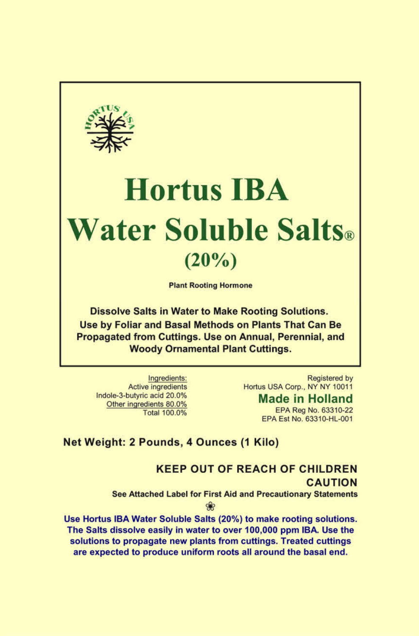

# **Hortus IBA Water Soluble Salts. (20%)**

Plant Rooting Hormone

Dissolve Salts in Water to Make Rooting Solutions. Use by Foliar and Basal Methods on Plants That Can Be Propagated from Cuttings. Use on Annual, Perennial, and Woody Ornamental Plant Cuttings.

Ingredients: Active ingredients Indole-3-butyric acid 20.0% Other ingredients 80.0% Total 100.0%

Registered by Hortus USA Corp., NY NY 10011

> **Made in Holland**  EPA Reg No. 63310-22 EPA Est No. 63310-HL-001

### **Net Weight: 2 Pounds, 4 Ounces (1 Kilo)**

## **KEEP OUT OF REACH OF CHILDREN CAUTION**

See Attached Label for First Aid and Precautionary Statements

S

Use Hortus IBA Water Soluble Salts (20%) to make rooting solutions. The Salts dissolve easily in water to over 100,000 ppm IBA. Use the solutions to propagate new plants from cuttings. Treated cuttings are expected to produce uniform roots all around the basal end.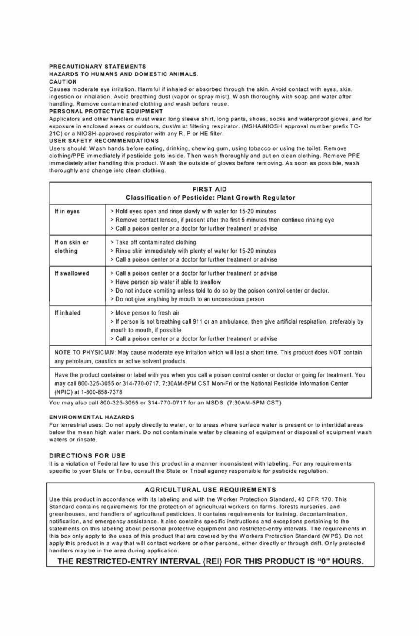#### PRECAUTIONARY STATEMENTS

HAZARDS TO HUMANS AND DOMESTIC ANIMALS.

#### CAUTION

Causes moderate eye irritation. Harmful if inhaled or absorbed through the skin. Avoid contact with eyes, skin. ingestion or inhalation. Avoid breathing dust (vapor or spray mist). Wash thoroughly with soap and water after handling. Remove contaminated clothing and wash before reuse.

#### PERSONAL PROTECTIVE EQUIPMENT

Applicators and other handlers must wear: long sleeve shirt, long pants, shoes, socks and waterproof gloves, and for exposure in enclosed areas or outdoors, dust/mist filtering respirator. (MSHA/NIOSH approval number prefix TC-21C) or a NIOSH-approved respirator with any R. P or HE filter.

#### USER SAFETY RECOMMENDATIONS

Users should: Wash hands before eating, drinking, chewing gum, using tobacco or using the toilet. Remove clothing/PPE immediately if pesticide gels inside. Then wash thoroughly and put on clean clothing. Remove PPE immediately after handling this product. Wash the outside of gloves before removing. As soon as possible, wash thoroughly and change into clean clothing.

|                           | <b>FIRST AID</b><br><b>Classification of Pesticide: Plant Growth Regulator</b>                                                                                                                                                                                        |
|---------------------------|-----------------------------------------------------------------------------------------------------------------------------------------------------------------------------------------------------------------------------------------------------------------------|
| If in eyes                | > Hold eyes open and rinse slowly with water for 15-20 minutes<br>> Remove contact lenses, if present after the first 5 minutes then continue rinsing eye<br>> Call a poison center or a doctor for further treatment or advise                                       |
| If on skin or<br>clothing | > Take off contaminated clothing<br>> Rinse skin immediately with plenty of water for 15-20 minutes<br>> Call a poison center or a doctor for further treatment or advise                                                                                             |
| If swallowed              | > Call a poison center or a doctor for further treatment or advise<br>> Have person sip water if able to swallow<br>> Do not induce vomiting unless told to do so by the poison control center or doctor.<br>> Do not give anything by mouth to an unconscious person |
| If inhaled                | > Move person to fresh air<br>> If person is not breathing call 911 or an ambulance, then give artificial respiration, preferably by<br>mouth to mouth, if possible<br>> Call a poison center or a doctor for further treatment or advise                             |
|                           | NOTE TO PHYSICIAN: May cause moderate eye irritation which will last a short time. This product does NOT contain<br>any petroleum, caustics or active solvent products                                                                                                |
|                           | Hous the product earlyings or lobal with you whan you gall a poince control contar or dooter or noing for tradment. You                                                                                                                                               |

Have the product container or label with you when you call a poison control center or doctor or going for treatment. You may call 800-325-3055 or 314-770-0717. 7:30AM-5PM CST Mon-Fri or the National Pesticide Information Center (NPIC) at 1-800-858-7378

You may also call 800-325.3055 or 314-770-0717 for an MSDS (7:30AM -5PM CST)

#### ENVIRONMENTAL HAZARDS

For terrestrial uses: Do not apply directly to water, or to areas where surface water is present or to intertidal areas below the mean high water mark. Do not contaminate water by cleaning of equipment or disposal of equipment wash waters or rinsate.

#### **DIRECTIONS FOR USE**

It is a violation of Federal law to use this product in a manner inconsistent with labeling. For any requirements specific to your State or Tribe, consult the State or Tribal agency responsible for pesticide regulation.

#### **AGRICULTURAL USE REQUIREMENTS**

Use this product in accordance with its labeling and with the Worker Protection Standard, 40 CFR 170. This Standard contains requirements for the protection of agricultural workers on farms, forests nurseries, and greenhouses, and handlers of agricultural pesticides. It contains requirements for training, decontamination. notification, and emergency assistance. It also contains specific instructions and exceptions pertaining to the statements on this labeling about personal protective equipment and restricted-entry intervals. The requirements in this box only apply to the uses of this product that are covered by the Workers Protection Standard (W PS). Do not apply this product in a way that will contact workers or other persons. either directly or through drift. Only protected handlers may be in the area during application.

#### **THE RESTRICTED-ENTRY INTERVAL (REI) FOR THIS PRODUCT IS "0" HOURS.**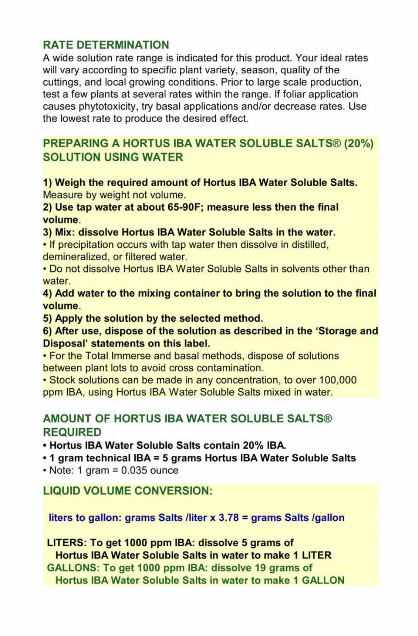### **RATE DETERMINATION**

A wide solution rate range is indicated for this product. Your ideal rates will vary according to specific plant variety, season, quality of the cuttings, and local growing conditions. Prior to large scale production, test a few plants at several rates within the range. If foliar application causes phytotoxicity, try basal applications and/or decrease rates. Use the lowest rate to produce the desired effect.

### **PREPARING A HORTUS IBA WATER SOLUBLE SALTS® (20%) SOLUTION USING WATER**

**1) Weigh the required amount of Hortus IBA Water Soluble Salts.**  Measure by weight not volume.

**2) Use tap water at about 65-90F; measure less then the final volume.** 

**3) Mix: dissolve Hortus IBA Water Soluble Salts in the water.** 

• If precipitation occurs with tap water then dissolve in distilled, demineralized, or filtered water.

• Do not dissolve Hortus IBA Water Soluble Salts in solvents other than water.

**4) Add water to the mixing container to bring the solution to the final volume.** 

**5) Apply the solution by the selected method.** 

**6) After use, dispose of the solution as described in the 'Storage and Disposal' statements on this label.** 

• For the Total Immerse and basal methods, dispose of solutions between plant lots to avoid cross contamination.

• Stock solutions can be made in any concentration, to over 100,000 ppm IBA, using Hortus IBA Water Soluble Salts mixed in water.

### **AMOUNT OF HORTUS IBA WATER SOLUBLE SALTS® REQUIRED**

**• Hortus IBA Water Soluble Salts contain 20% IBA.** 

**• 1 gram technical IBA = 5 grams Hortus IBA Water Soluble Salts** 

 $\cdot$  Note: 1 gram = 0.035 ounce

**LIQUID VOLUME CONVERSION:** 

**liters to gallon: grams Salts /liter x 3.78 = grams Salts /gallon** 

**LITERS: To get 1000 ppm IBA: dissolve 5 grams of Hortus IBA Water Soluble Salts in water to make 1 LITER GALLONS: To get 1000 ppm IBA: dissolve 19 grams of Hortus IBA Water Soluble Salts in water to make 1 GALLON**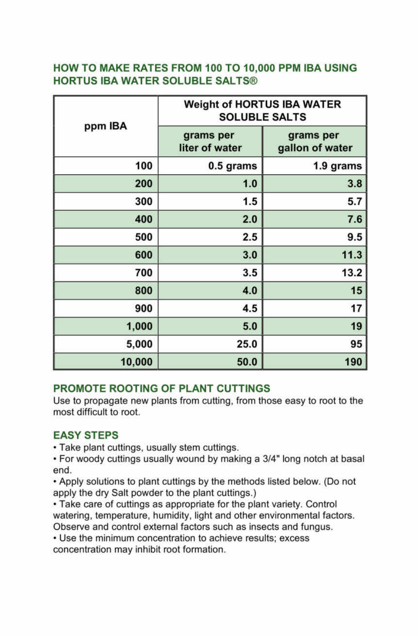### **HOW TO MAKE RATES FROM 100 TO 10,000 PPM IBA USING HORTUS IBA WATER SOLUBLE SALTS®**

| ppm IBA | <b>Weight of HORTUS IBA WATER</b><br><b>SOLUBLE SALTS</b> |                              |
|---------|-----------------------------------------------------------|------------------------------|
|         | grams per<br>liter of water                               | grams per<br>gallon of water |
| 100     | 0.5 grams                                                 | 1.9 grams                    |
| 200     | 1.0                                                       | 3.8                          |
| 300     | 1.5                                                       | 5.7                          |
| 400     | 2.0                                                       | 7.6                          |
| 500     | 2.5                                                       | 9.5                          |
| 600     | 3.0                                                       | 11.3                         |
| 700     | 3.5                                                       | 13.2                         |
| 800     | 4.0                                                       | 15                           |
| 900     | 4.5                                                       | 17                           |
| 1,000   | 5.0                                                       | 19                           |
| 5,000   | 25.0                                                      | 95                           |
| 10,000  | 50.0                                                      | 190                          |

### **PROMOTE ROOTING OF PLANT CUTTINGS**

Use to propagate new plants from cutting, from those easy to root to the most difficult to root.

### **EASY STEPS**

• Take plant cuttings, usually stem cuttings.

• For woody cuttings usually wound by making a 3/4" long notch at basal end.

• Apply solutions to plant cuttings by the methods listed below. (Do not apply the dry Salt powder to the plant cuttings.)

• Take care of cuttings as appropriate for the plant variety. Control watering, temperature, humidity, light and other environmental factors. Observe and control external factors such as insects and fungus.

• Use the minimum concentration to achieve results; excess concentration may inhibit root formation.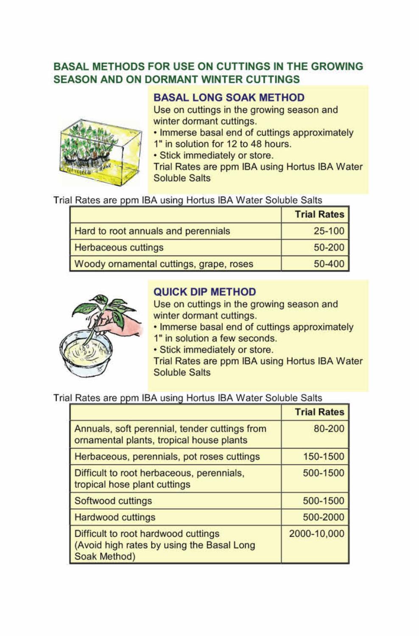### **BASAL METHODS FOR USE ON CUTTINGS IN THE GROWING SEASON AND ON DORMANT WINTER CUTTINGS**

### **BASAL LONG SOAK METHOD**

Use on cuttings in the growing season and winter dormant cuttings.

• Immerse basal end of cuttings approximately

- 1" in solution for 12 to 48 hours.
- Stick immediately or store.

Trial Rates are ppm IBA using Hortus IBA Water Soluble Salts

| Trial Rates are ppm IBA using Hortus IBA Water Soluble Salts |  |  |  |  |  |
|--------------------------------------------------------------|--|--|--|--|--|
|--------------------------------------------------------------|--|--|--|--|--|

|                                         | <b>Trial Rates</b> |
|-----------------------------------------|--------------------|
| Hard to root annuals and perennials     | $25 - 100$         |
| <b>Herbaceous cuttings</b>              | $50 - 200$         |
| Woody ornamental cuttings, grape, roses | $50 - 400$         |



### **QUICK DIP METHOD**

Use on cuttings in the growing season and winter dormant cuttings.

• Immerse basal end of cuttings approximately 1" in solution a few seconds.

• Stick immediately or store.

Trial Rates are ppm IBA using Hortus IBA Water Soluble Salts

#### Trial Rates are ppm IBA using Hortus IBA Water Soluble Salts

|                                                                                                  | <b>Trial Rates</b> |
|--------------------------------------------------------------------------------------------------|--------------------|
| Annuals, soft perennial, tender cuttings from<br>ornamental plants, tropical house plants        | 80-200             |
| Herbaceous, perennials, pot roses cuttings                                                       | 150-1500           |
| Difficult to root herbaceous, perennials,<br>tropical hose plant cuttings                        | 500-1500           |
| Softwood cuttings                                                                                | 500-1500           |
| <b>Hardwood cuttings</b>                                                                         | 500-2000           |
| Difficult to root hardwood cuttings<br>(Avoid high rates by using the Basal Long<br>Soak Method) | 2000-10,000        |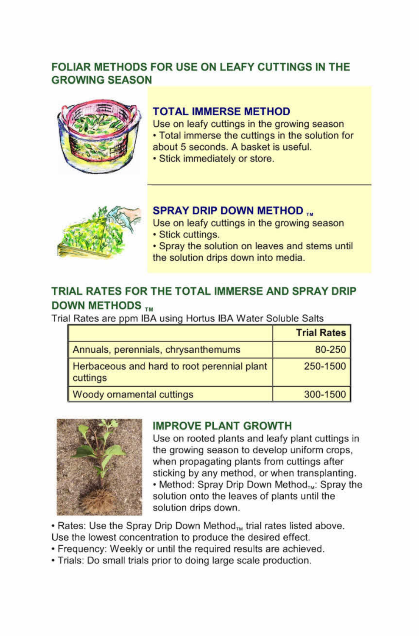### **FOLIAR METHODS FOR USE ON LEAFY CUTTINGS IN THE GROWING SEASON**



#### **TOTAL IMMERSE METHOD**

Use on leafy cuttings in the growing season

• Total immerse the cuttings in the solution for

- about 5 seconds. A basket is useful.
- Stick immediately or store.



**SPRAY DRIP DOWN METHOD TM**<br>Use on leafy cuttings in the growing season • Stick cuttings.

• Spray the solution on leaves and stems until the solution drips down into media.

### **TRIAL RATES FOR THE TOTAL IMMERSE AND SPRAY DRIP DOWN METHODS**

Trial Rates are ppm IBA using Hortus IBA Water Soluble Salts

|                                                         | <b>Trial Rates</b> |
|---------------------------------------------------------|--------------------|
| Annuals, perennials, chrysanthemums                     | 80-250             |
| Herbaceous and hard to root perennial plant<br>cuttings | 250-1500           |
| <b>Woody ornamental cuttings</b>                        | 300-1500           |



### **IMPROVE PLANT GROWTH**

Use on rooted plants and leafy plant cuttings in the growing season to develop uniform crops, when propagating plants from cuttings after sticking by any method, or when transplanting. • Method: Spray Drip Down Method ... Spray the solution onto the leaves of plants until the solution drips down.

• Rates: Use the Spray Drip Down Method<sub>TM</sub> trial rates listed above. Use the lowest concentration to produce the desired effect.

- Frequency: Weekly or until the required results are achieved.
- Trials: Do small trials prior to doing large scale production.